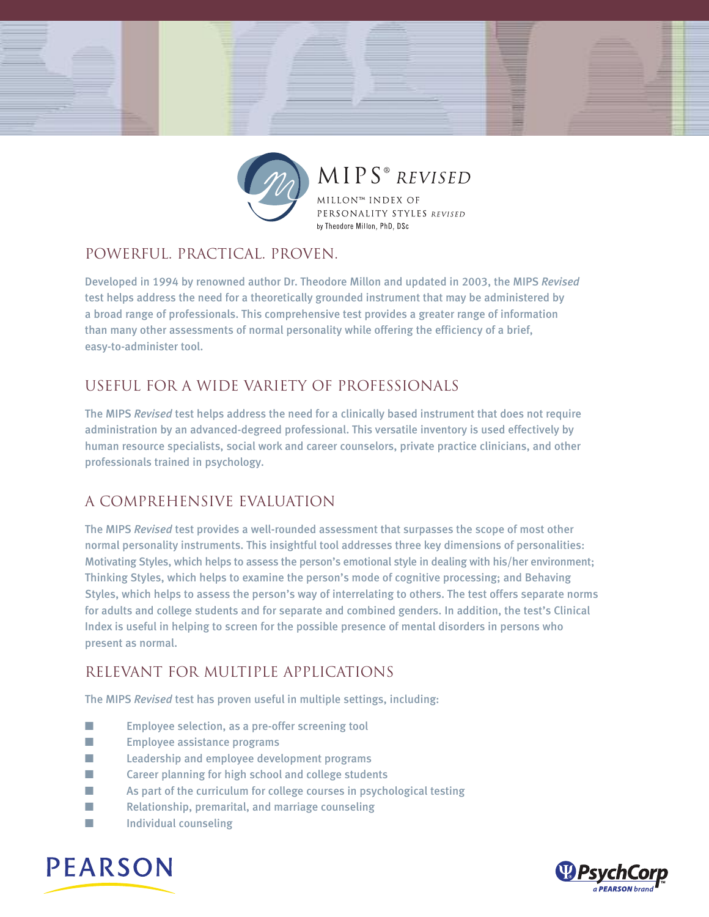

MIPS® REVISED

MILLON™ INDEX OF PERSONALITY STYLES REVISED by Theodore Millon, PhD, DSc

### Powerful. Practical. proven.

Developed in 1994 by renowned author Dr. Theodore Millon and updated in 2003, the MIPS *Revised* test helps address the need for a theoretically grounded instrument that may be administered by a broad range of professionals. This comprehensive test provides a greater range of information than many other assessments of normal personality while offering the efficiency of a brief, easy-to-administer tool.

## Useful for a wide variety of professionals

The MIPS *Revised* test helps address the need for a clinically based instrument that does not require administration by an advanced-degreed professional. This versatile inventory is used effectively by human resource specialists, social work and career counselors, private practice clinicians, and other professionals trained in psychology.

# a comprehensive evaluation

The MIPS *Revised* test provides a well-rounded assessment that surpasses the scope of most other normal personality instruments. This insightful tool addresses three key dimensions of personalities: Motivating Styles, which helps to assess the person's emotional style in dealing with his/her environment; Thinking Styles, which helps to examine the person's mode of cognitive processing; and Behaving Styles, which helps to assess the person's way of interrelating to others. The test offers separate norms for adults and college students and for separate and combined genders. In addition, the test's Clinical Index is useful in helping to screen for the possible presence of mental disorders in persons who present as normal.

# Relevant for multiple applications

The MIPS *Revised* test has proven useful in multiple settings, including:

- Employee selection, as a pre-offer screening tool
- **■** Employee assistance programs
- Leadership and employee development programs
- **■** Career planning for high school and college students
- **■** As part of the curriculum for college courses in psychological testing
- Relationship, premarital, and marriage counseling
- Individual counseling